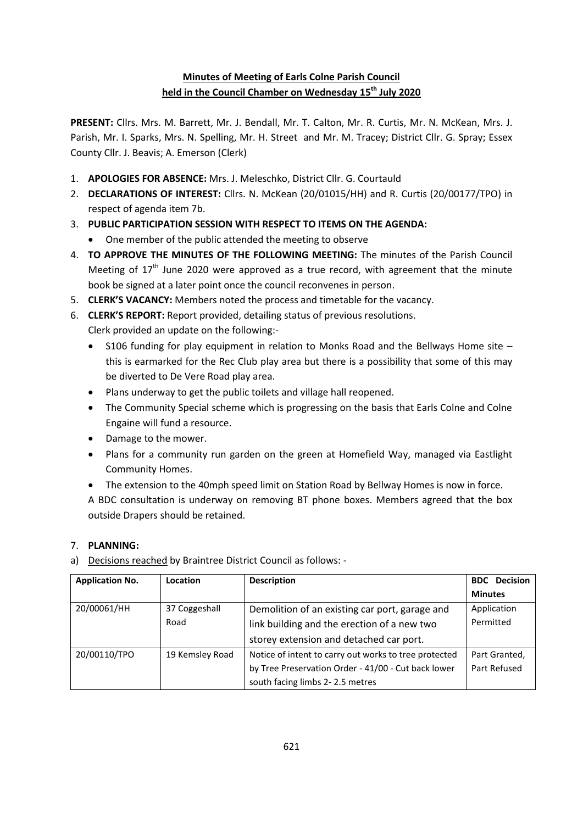# **Minutes of Meeting of Earls Colne Parish Council held in the Council Chamber on Wednesday 15 th July 2020**

**PRESENT:** Cllrs. Mrs. M. Barrett, Mr. J. Bendall, Mr. T. Calton, Mr. R. Curtis, Mr. N. McKean, Mrs. J. Parish, Mr. I. Sparks, Mrs. N. Spelling, Mr. H. Street and Mr. M. Tracey; District Cllr. G. Spray; Essex County Cllr. J. Beavis; A. Emerson (Clerk)

- 1. **APOLOGIES FOR ABSENCE:** Mrs. J. Meleschko, District Cllr. G. Courtauld
- 2. **DECLARATIONS OF INTEREST:** Cllrs. N. McKean (20/01015/HH) and R. Curtis (20/00177/TPO) in respect of agenda item 7b.
- 3. **PUBLIC PARTICIPATION SESSION WITH RESPECT TO ITEMS ON THE AGENDA:**
	- One member of the public attended the meeting to observe
- 4. **TO APPROVE THE MINUTES OF THE FOLLOWING MEETING:** The minutes of the Parish Council Meeting of  $17<sup>th</sup>$  June 2020 were approved as a true record, with agreement that the minute book be signed at a later point once the council reconvenes in person.
- 5. **CLERK'S VACANCY:** Members noted the process and timetable for the vacancy.
- 6. **CLERK'S REPORT:** Report provided, detailing status of previous resolutions. Clerk provided an update on the following:-
	- S106 funding for play equipment in relation to Monks Road and the Bellways Home site this is earmarked for the Rec Club play area but there is a possibility that some of this may be diverted to De Vere Road play area.
	- Plans underway to get the public toilets and village hall reopened.
	- The Community Special scheme which is progressing on the basis that Earls Colne and Colne Engaine will fund a resource.
	- Damage to the mower.
	- Plans for a community run garden on the green at Homefield Way, managed via Eastlight Community Homes.
	- The extension to the 40mph speed limit on Station Road by Bellway Homes is now in force.

A BDC consultation is underway on removing BT phone boxes. Members agreed that the box outside Drapers should be retained.

## 7. **PLANNING:**

a) Decisions reached by Braintree District Council as follows: -

| <b>Application No.</b> | Location        | <b>Description</b>                                    | <b>BDC</b> Decision |
|------------------------|-----------------|-------------------------------------------------------|---------------------|
|                        |                 |                                                       | <b>Minutes</b>      |
| 20/00061/HH            | 37 Coggeshall   | Demolition of an existing car port, garage and        | Application         |
|                        | Road            | link building and the erection of a new two           | Permitted           |
|                        |                 | storey extension and detached car port.               |                     |
| 20/00110/TPO           | 19 Kemsley Road | Notice of intent to carry out works to tree protected | Part Granted,       |
|                        |                 | by Tree Preservation Order - 41/00 - Cut back lower   | Part Refused        |
|                        |                 | south facing limbs 2-2.5 metres                       |                     |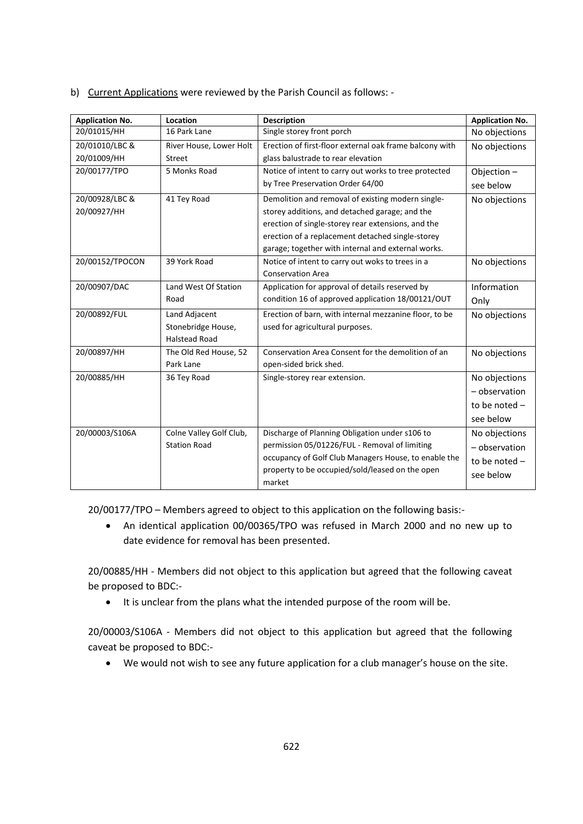b) Current Applications were reviewed by the Parish Council as follows: -

| <b>Application No.</b> | Location                | <b>Description</b>                                      | <b>Application No.</b> |
|------------------------|-------------------------|---------------------------------------------------------|------------------------|
| 20/01015/HH            | 16 Park Lane            | Single storey front porch                               | No objections          |
| 20/01010/LBC &         | River House, Lower Holt | Erection of first-floor external oak frame balcony with | No objections          |
| 20/01009/HH            | <b>Street</b>           | glass balustrade to rear elevation                      |                        |
| 20/00177/TPO           | 5 Monks Road            | Notice of intent to carry out works to tree protected   | Objection-             |
|                        |                         | by Tree Preservation Order 64/00                        | see below              |
| 20/00928/LBC &         | 41 Tey Road             | Demolition and removal of existing modern single-       | No objections          |
| 20/00927/HH            |                         | storey additions, and detached garage; and the          |                        |
|                        |                         | erection of single-storey rear extensions, and the      |                        |
|                        |                         | erection of a replacement detached single-storey        |                        |
|                        |                         | garage; together with internal and external works.      |                        |
| 20/00152/TPOCON        | 39 York Road            | Notice of intent to carry out woks to trees in a        | No objections          |
|                        |                         | <b>Conservation Area</b>                                |                        |
| 20/00907/DAC           | Land West Of Station    | Application for approval of details reserved by         | Information            |
|                        | Road                    | condition 16 of approved application 18/00121/OUT       | Only                   |
| 20/00892/FUL           | Land Adjacent           | Erection of barn, with internal mezzanine floor, to be  | No objections          |
|                        | Stonebridge House,      | used for agricultural purposes.                         |                        |
|                        | <b>Halstead Road</b>    |                                                         |                        |
| 20/00897/HH            | The Old Red House, 52   | Conservation Area Consent for the demolition of an      | No objections          |
|                        | Park Lane               | open-sided brick shed.                                  |                        |
| 20/00885/HH            | 36 Tey Road             | Single-storey rear extension.                           | No objections          |
|                        |                         |                                                         | - observation          |
|                        |                         |                                                         | to be noted -          |
|                        |                         |                                                         | see below              |
| 20/00003/S106A         | Colne Valley Golf Club, | Discharge of Planning Obligation under s106 to          | No objections          |
|                        | <b>Station Road</b>     | permission 05/01226/FUL - Removal of limiting           | - observation          |
|                        |                         | occupancy of Golf Club Managers House, to enable the    | to be noted -          |
|                        |                         | property to be occupied/sold/leased on the open         | see below              |
|                        |                         | market                                                  |                        |

20/00177/TPO – Members agreed to object to this application on the following basis:-

 An identical application 00/00365/TPO was refused in March 2000 and no new up to date evidence for removal has been presented.

20/00885/HH - Members did not object to this application but agreed that the following caveat be proposed to BDC:-

• It is unclear from the plans what the intended purpose of the room will be.

20/00003/S106A - Members did not object to this application but agreed that the following caveat be proposed to BDC:-

We would not wish to see any future application for a club manager's house on the site.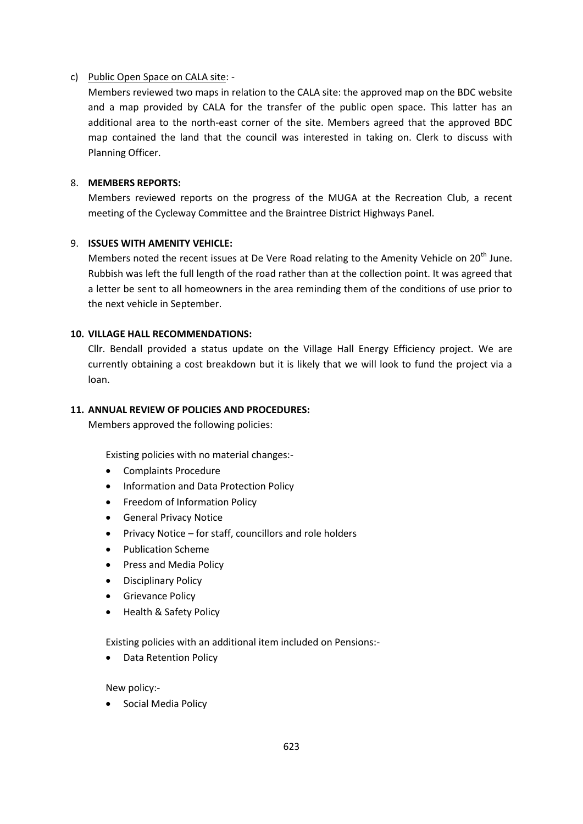#### c) Public Open Space on CALA site: -

Members reviewed two maps in relation to the CALA site: the approved map on the BDC website and a map provided by CALA for the transfer of the public open space. This latter has an additional area to the north-east corner of the site. Members agreed that the approved BDC map contained the land that the council was interested in taking on. Clerk to discuss with Planning Officer.

## 8. **MEMBERS REPORTS:**

Members reviewed reports on the progress of the MUGA at the Recreation Club, a recent meeting of the Cycleway Committee and the Braintree District Highways Panel.

## 9. **ISSUES WITH AMENITY VEHICLE:**

Members noted the recent issues at De Vere Road relating to the Amenity Vehicle on  $20^{th}$  June. Rubbish was left the full length of the road rather than at the collection point. It was agreed that a letter be sent to all homeowners in the area reminding them of the conditions of use prior to the next vehicle in September.

## **10. VILLAGE HALL RECOMMENDATIONS:**

Cllr. Bendall provided a status update on the Village Hall Energy Efficiency project. We are currently obtaining a cost breakdown but it is likely that we will look to fund the project via a loan.

#### **11. ANNUAL REVIEW OF POLICIES AND PROCEDURES:**

Members approved the following policies:

Existing policies with no material changes:-

- Complaints Procedure
- **•** Information and Data Protection Policy
- Freedom of Information Policy
- General Privacy Notice
- Privacy Notice for staff, councillors and role holders
- Publication Scheme
- Press and Media Policy
- Disciplinary Policy
- Grievance Policy
- Health & Safety Policy

Existing policies with an additional item included on Pensions:-

Data Retention Policy

New policy:-

• Social Media Policy